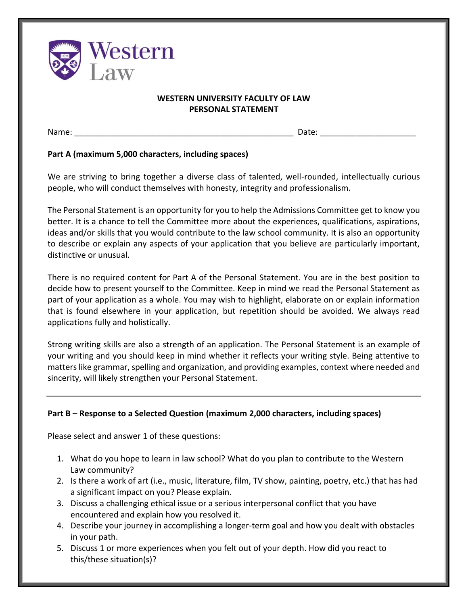

## **WESTERN UNIVERSITY FACULTY OF LAW PERSONAL STATEMENT**

Name: \_\_\_\_\_\_\_\_\_\_\_\_\_\_\_\_\_\_\_\_\_\_\_\_\_\_\_\_\_\_\_\_\_\_\_\_\_\_\_\_\_\_\_\_\_\_\_\_ Date: \_\_\_\_\_\_\_\_\_\_\_\_\_\_\_\_\_\_\_\_\_

## **Part A (maximum 5,000 characters, including spaces)**

We are striving to bring together a diverse class of talented, well-rounded, intellectually curious people, who will conduct themselves with honesty, integrity and professionalism.

The Personal Statement is an opportunity for you to help the Admissions Committee get to know you better. It is a chance to tell the Committee more about the experiences, qualifications, aspirations, ideas and/or skills that you would contribute to the law school community. It is also an opportunity to describe or explain any aspects of your application that you believe are particularly important, distinctive or unusual.

There is no required content for Part A of the Personal Statement. You are in the best position to decide how to present yourself to the Committee. Keep in mind we read the Personal Statement as part of your application as a whole. You may wish to highlight, elaborate on or explain information that is found elsewhere in your application, but repetition should be avoided. We always read applications fully and holistically.

Strong writing skills are also a strength of an application. The Personal Statement is an example of your writing and you should keep in mind whether it reflects your writing style. Being attentive to matters like grammar, spelling and organization, and providing examples, context where needed and sincerity, will likely strengthen your Personal Statement.

## **Part B – Response to a Selected Question (maximum 2,000 characters, including spaces)**

Please select and answer 1 of these questions:

- 1. What do you hope to learn in law school? What do you plan to contribute to the Western Law community?
- 2. Is there a work of art (i.e., music, literature, film, TV show, painting, poetry, etc.) that has had a significant impact on you? Please explain.
- 3. Discuss a challenging ethical issue or a serious interpersonal conflict that you have encountered and explain how you resolved it.
- 4. Describe your journey in accomplishing a longer-term goal and how you dealt with obstacles in your path.
- 5. Discuss 1 or more experiences when you felt out of your depth. How did you react to this/these situation(s)?